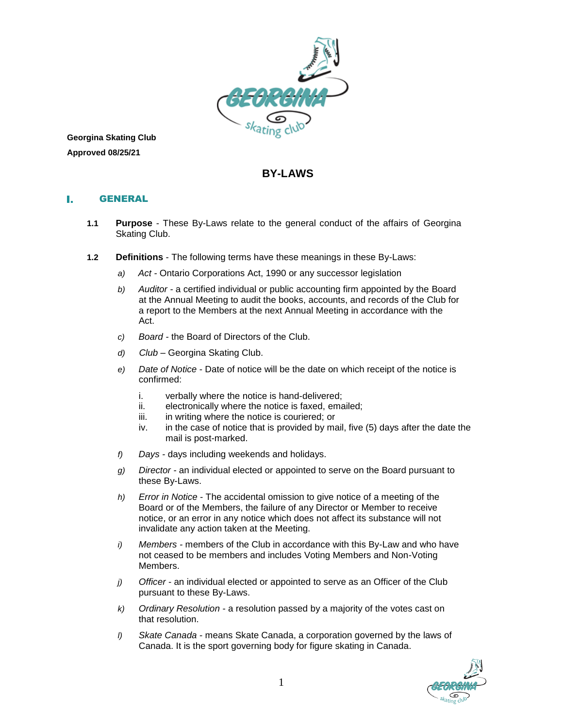

**Georgina Skating Club Approved 08/25/21**

# **BY-LAWS**

#### GENERAL L.

- **1.1 Purpose** These By-Laws relate to the general conduct of the affairs of Georgina Skating Club.
- **1.2 Definitions** The following terms have these meanings in these By-Laws:
	- *a) Act -* Ontario Corporations Act, 1990 or any successor legislation
	- *b) Auditor -* a certified individual or public accounting firm appointed by the Board at the Annual Meeting to audit the books, accounts, and records of the Club for a report to the Members at the next Annual Meeting in accordance with the Act.
	- *c) Board -* the Board of Directors of the Club.
	- *d) Club –* Georgina Skating Club.
	- *e) Date of Notice* Date of notice will be the date on which receipt of the notice is confirmed:
		- i. verbally where the notice is hand-delivered;
		- ii. electronically where the notice is faxed, emailed;
		- iii. in writing where the notice is couriered; or
		- iv. in the case of notice that is provided by mail, five (5) days after the date the mail is post-marked.
	- *f) Days -* days including weekends and holidays.
	- *g) Director -* an individual elected or appointed to serve on the Board pursuant to these By-Laws.
	- *h) Error in Notice* The accidental omission to give notice of a meeting of the Board or of the Members, the failure of any Director or Member to receive notice, or an error in any notice which does not affect its substance will not invalidate any action taken at the Meeting.
	- *i) Members -* members of the Club in accordance with this By-Law and who have not ceased to be members and includes Voting Members and Non-Voting Members.
	- *j) Officer -* an individual elected or appointed to serve as an Officer of the Club pursuant to these By-Laws.
	- *k) Ordinary Resolution*  a resolution passed by a majority of the votes cast on that resolution.
	- *l) Skate Canada* means Skate Canada, a corporation governed by the laws of Canada. It is the sport governing body for figure skating in Canada.

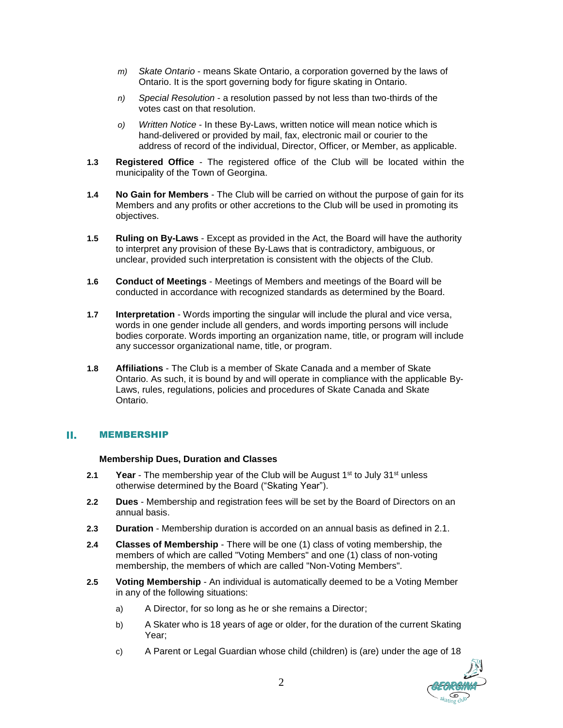- *m) Skate Ontario* means Skate Ontario, a corporation governed by the laws of Ontario. It is the sport governing body for figure skating in Ontario.
- *n) Special Resolution*  a resolution passed by not less than two-thirds of the votes cast on that resolution.
- *o) Written Notice* In these By-Laws, written notice will mean notice which is hand-delivered or provided by mail, fax, electronic mail or courier to the address of record of the individual, Director, Officer, or Member, as applicable.
- **1.3 Registered Office** The registered office of the Club will be located within the municipality of the Town of Georgina.
- **1.4 No Gain for Members** The Club will be carried on without the purpose of gain for its Members and any profits or other accretions to the Club will be used in promoting its objectives.
- **1.5 Ruling on By-Laws** Except as provided in the Act, the Board will have the authority to interpret any provision of these By-Laws that is contradictory, ambiguous, or unclear, provided such interpretation is consistent with the objects of the Club.
- **1.6 Conduct of Meetings** Meetings of Members and meetings of the Board will be conducted in accordance with recognized standards as determined by the Board.
- **1.7 Interpretation** Words importing the singular will include the plural and vice versa, words in one gender include all genders, and words importing persons will include bodies corporate. Words importing an organization name, title, or program will include any successor organizational name, title, or program.
- **1.8 Affiliations** The Club is a member of Skate Canada and a member of Skate Ontario. As such, it is bound by and will operate in compliance with the applicable By-Laws, rules, regulations, policies and procedures of Skate Canada and Skate Ontario.

#### H. MEMBERSHIP

### **Membership Dues, Duration and Classes**

- **2.1 Year** The membership year of the Club will be August 1<sup>st</sup> to July 31<sup>st</sup> unless otherwise determined by the Board ("Skating Year").
- **2.2 Dues** Membership and registration fees will be set by the Board of Directors on an annual basis.
- **2.3 Duration** Membership duration is accorded on an annual basis as defined in 2.1.
- **2.4 Classes of Membership** There will be one (1) class of voting membership, the members of which are called "Voting Members" and one (1) class of non-voting membership, the members of which are called "Non-Voting Members".
- **2.5 Voting Membership** An individual is automatically deemed to be a Voting Member in any of the following situations:
	- a) A Director, for so long as he or she remains a Director;
	- b) A Skater who is 18 years of age or older, for the duration of the current Skating Year;
	- c) A Parent or Legal Guardian whose child (children) is (are) under the age of 18

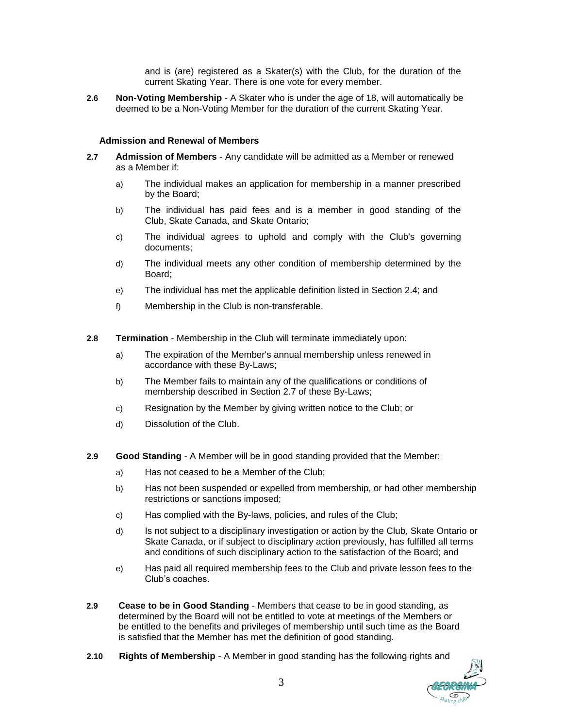and is (are) registered as a Skater(s) with the Club, for the duration of the current Skating Year. There is one vote for every member.

**2.6 Non-Voting Membership** - A Skater who is under the age of 18, will automatically be deemed to be a Non-Voting Member for the duration of the current Skating Year.

### **Admission and Renewal of Members**

- **2.7 Admission of Members** Any candidate will be admitted as a Member or renewed as a Member if:
	- a) The individual makes an application for membership in a manner prescribed by the Board;
	- b) The individual has paid fees and is a member in good standing of the Club, Skate Canada, and Skate Ontario;
	- c) The individual agrees to uphold and comply with the Club's governing documents;
	- d) The individual meets any other condition of membership determined by the Board;
	- e) The individual has met the applicable definition listed in Section 2.4; and
	- f) Membership in the Club is non-transferable.
- **2.8 Termination** Membership in the Club will terminate immediately upon:
	- a) The expiration of the Member's annual membership unless renewed in accordance with these By-Laws;
	- b) The Member fails to maintain any of the qualifications or conditions of membership described in Section 2.7 of these By-Laws;
	- c) Resignation by the Member by giving written notice to the Club; or
	- d) Dissolution of the Club.
- **2.9 Good Standing** A Member will be in good standing provided that the Member:
	- a) Has not ceased to be a Member of the Club;
	- b) Has not been suspended or expelled from membership, or had other membership restrictions or sanctions imposed;
	- c) Has complied with the By-laws, policies, and rules of the Club;
	- d) Is not subject to a disciplinary investigation or action by the Club, Skate Ontario or Skate Canada, or if subject to disciplinary action previously, has fulfilled all terms and conditions of such disciplinary action to the satisfaction of the Board; and
	- e) Has paid all required membership fees to the Club and private lesson fees to the Club's coaches.
- **2.9 Cease to be in Good Standing** Members that cease to be in good standing, as determined by the Board will not be entitled to vote at meetings of the Members or be entitled to the benefits and privileges of membership until such time as the Board is satisfied that the Member has met the definition of good standing.
- **2.10 Rights of Membership** A Member in good standing has the following rights and

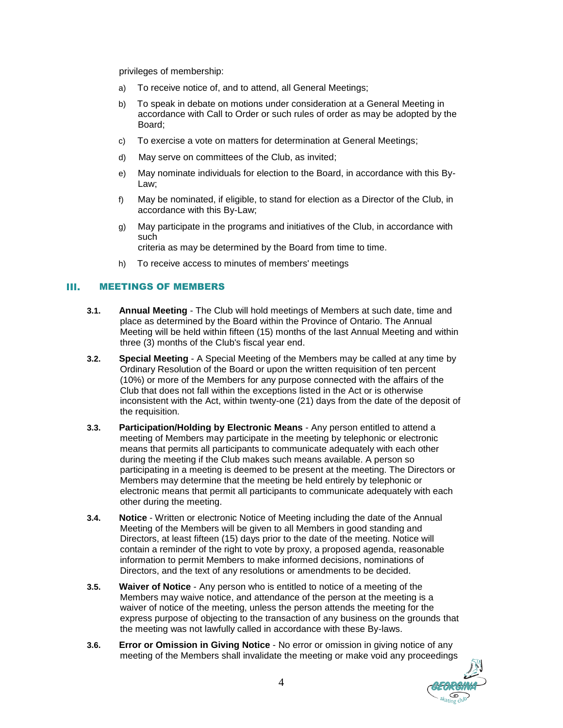privileges of membership:

- a) To receive notice of, and to attend, all General Meetings;
- b) To speak in debate on motions under consideration at a General Meeting in accordance with Call to Order or such rules of order as may be adopted by the Board;
- c) To exercise a vote on matters for determination at General Meetings;
- d) May serve on committees of the Club, as invited;
- e) May nominate individuals for election to the Board, in accordance with this By-Law;
- f) May be nominated, if eligible, to stand for election as a Director of the Club, in accordance with this By-Law;
- g) May participate in the programs and initiatives of the Club, in accordance with such

criteria as may be determined by the Board from time to time.

h) To receive access to minutes of members' meetings

#### HL. MEETINGS OF MEMBERS

- **3.1. Annual Meeting** The Club will hold meetings of Members at such date, time and place as determined by the Board within the Province of Ontario. The Annual Meeting will be held within fifteen (15) months of the last Annual Meeting and within three (3) months of the Club's fiscal year end.
- **3.2. Special Meeting** A Special Meeting of the Members may be called at any time by Ordinary Resolution of the Board or upon the written requisition of ten percent (10%) or more of the Members for any purpose connected with the affairs of the Club that does not fall within the exceptions listed in the Act or is otherwise inconsistent with the Act, within twenty-one (21) days from the date of the deposit of the requisition.
- **3.3. Participation/Holding by Electronic Means** Any person entitled to attend a meeting of Members may participate in the meeting by telephonic or electronic means that permits all participants to communicate adequately with each other during the meeting if the Club makes such means available. A person so participating in a meeting is deemed to be present at the meeting. The Directors or Members may determine that the meeting be held entirely by telephonic or electronic means that permit all participants to communicate adequately with each other during the meeting.
- **3.4. Notice** Written or electronic Notice of Meeting including the date of the Annual Meeting of the Members will be given to all Members in good standing and Directors, at least fifteen (15) days prior to the date of the meeting. Notice will contain a reminder of the right to vote by proxy, a proposed agenda, reasonable information to permit Members to make informed decisions, nominations of Directors, and the text of any resolutions or amendments to be decided.
- **3.5. Waiver of Notice** Any person who is entitled to notice of a meeting of the Members may waive notice, and attendance of the person at the meeting is a waiver of notice of the meeting, unless the person attends the meeting for the express purpose of objecting to the transaction of any business on the grounds that the meeting was not lawfully called in accordance with these By-laws.
- **3.6. Error or Omission in Giving Notice** No error or omission in giving notice of any meeting of the Members shall invalidate the meeting or make void any proceedings

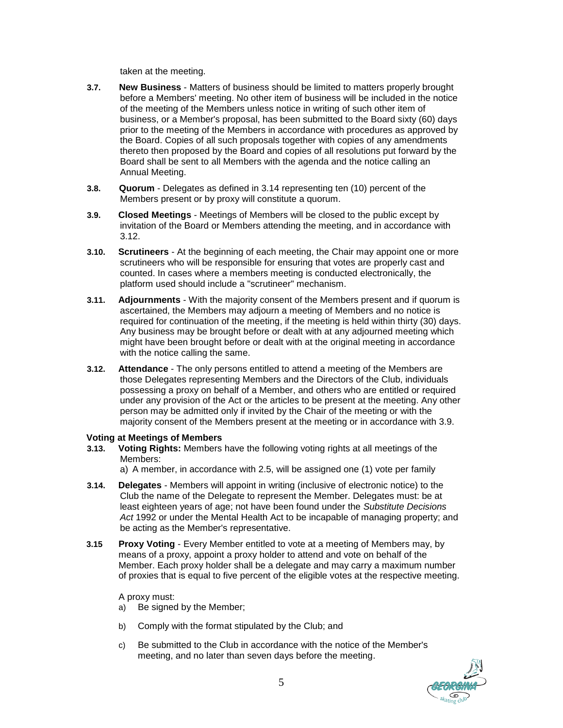taken at the meeting.

- **3.7. New Business** Matters of business should be limited to matters properly brought before a Members' meeting. No other item of business will be included in the notice of the meeting of the Members unless notice in writing of such other item of business, or a Member's proposal, has been submitted to the Board sixty (60) days prior to the meeting of the Members in accordance with procedures as approved by the Board. Copies of all such proposals together with copies of any amendments thereto then proposed by the Board and copies of all resolutions put forward by the Board shall be sent to all Members with the agenda and the notice calling an Annual Meeting.
- **3.8. Quorum** Delegates as defined in 3.14 representing ten (10) percent of the Members present or by proxy will constitute a quorum.
- **3.9. Closed Meetings** Meetings of Members will be closed to the public except by invitation of the Board or Members attending the meeting, and in accordance with 3.12.
- **3.10. Scrutineers** At the beginning of each meeting, the Chair may appoint one or more scrutineers who will be responsible for ensuring that votes are properly cast and counted. In cases where a members meeting is conducted electronically, the platform used should include a "scrutineer" mechanism.
- **3.11. Adjournments** With the majority consent of the Members present and if quorum is ascertained, the Members may adjourn a meeting of Members and no notice is required for continuation of the meeting, if the meeting is held within thirty (30) days. Any business may be brought before or dealt with at any adjourned meeting which might have been brought before or dealt with at the original meeting in accordance with the notice calling the same.
- **3.12. Attendance** The only persons entitled to attend a meeting of the Members are those Delegates representing Members and the Directors of the Club, individuals possessing a proxy on behalf of a Member, and others who are entitled or required under any provision of the Act or the articles to be present at the meeting. Any other person may be admitted only if invited by the Chair of the meeting or with the majority consent of the Members present at the meeting or in accordance with 3.9.

### **Voting at Meetings of Members**

**3.13. Voting Rights:** Members have the following voting rights at all meetings of the Members:

a) A member, in accordance with 2.5, will be assigned one (1) vote per family

- **3.14. Delegates** Members will appoint in writing (inclusive of electronic notice) to the Club the name of the Delegate to represent the Member. Delegates must: be at least eighteen years of age; not have been found under the *Substitute Decisions Act* 1992 or under the Mental Health Act to be incapable of managing property; and be acting as the Member's representative.
- **3.15 Proxy Voting** Every Member entitled to vote at a meeting of Members may, by means of a proxy, appoint a proxy holder to attend and vote on behalf of the Member. Each proxy holder shall be a delegate and may carry a maximum number of proxies that is equal to five percent of the eligible votes at the respective meeting.

# A proxy must:

- a) Be signed by the Member;
- b) Comply with the format stipulated by the Club; and
- c) Be submitted to the Club in accordance with the notice of the Member's meeting, and no later than seven days before the meeting.

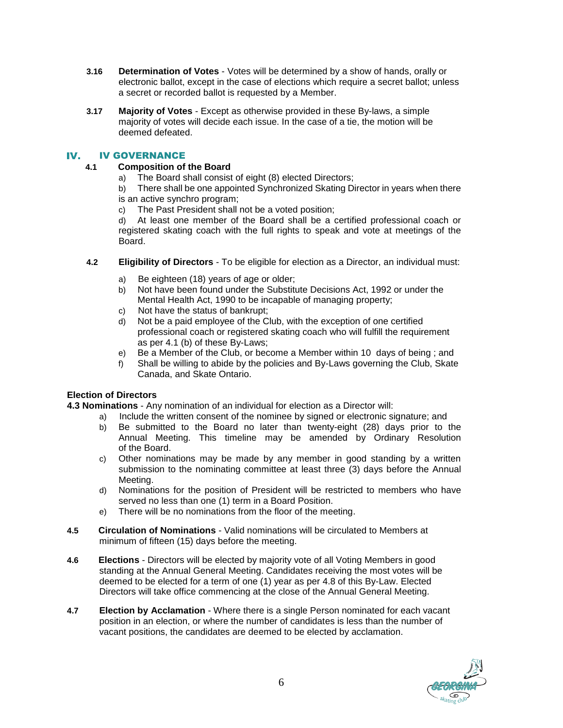- **3.16 Determination of Votes** Votes will be determined by a show of hands, orally or electronic ballot, except in the case of elections which require a secret ballot; unless a secret or recorded ballot is requested by a Member.
- **3.17 Majority of Votes** Except as otherwise provided in these By-laws, a simple majority of votes will decide each issue. In the case of a tie, the motion will be deemed defeated.

#### IV. IV GOVERNANCE

# **4.1 Composition of the Board**

a) The Board shall consist of eight (8) elected Directors;

b) There shall be one appointed Synchronized Skating Director in years when there is an active synchro program;

c) The Past President shall not be a voted position;

d) At least one member of the Board shall be a certified professional coach or registered skating coach with the full rights to speak and vote at meetings of the Board.

- **4.2 Eligibility of Directors** To be eligible for election as a Director, an individual must:
	- Be eighteen (18) years of age or older;
	- b) Not have been found under the Substitute Decisions Act, 1992 or under the Mental Health Act, 1990 to be incapable of managing property;
	- c) Not have the status of bankrupt;
	- d) Not be a paid employee of the Club, with the exception of one certified professional coach or registered skating coach who will fulfill the requirement as per 4.1 (b) of these By-Laws;
	- e) Be a Member of the Club, or become a Member within 10 days of being ; and
	- f) Shall be willing to abide by the policies and By-Laws governing the Club, Skate Canada, and Skate Ontario.

# **Election of Directors**

**4.3 Nominations** - Any nomination of an individual for election as a Director will:

- a) Include the written consent of the nominee by signed or electronic signature; and
	- b) Be submitted to the Board no later than twenty-eight (28) days prior to the Annual Meeting. This timeline may be amended by Ordinary Resolution of the Board.
	- c) Other nominations may be made by any member in good standing by a written submission to the nominating committee at least three (3) days before the Annual Meeting.
	- d) Nominations for the position of President will be restricted to members who have served no less than one (1) term in a Board Position.
	- e) There will be no nominations from the floor of the meeting.
- **4.5 Circulation of Nominations** Valid nominations will be circulated to Members at minimum of fifteen (15) days before the meeting.
- **4.6 Elections** Directors will be elected by majority vote of all Voting Members in good standing at the Annual General Meeting. Candidates receiving the most votes will be deemed to be elected for a term of one (1) year as per 4.8 of this By-Law. Elected Directors will take office commencing at the close of the Annual General Meeting.
- **4.7 Election by Acclamation** Where there is a single Person nominated for each vacant position in an election, or where the number of candidates is less than the number of vacant positions, the candidates are deemed to be elected by acclamation.

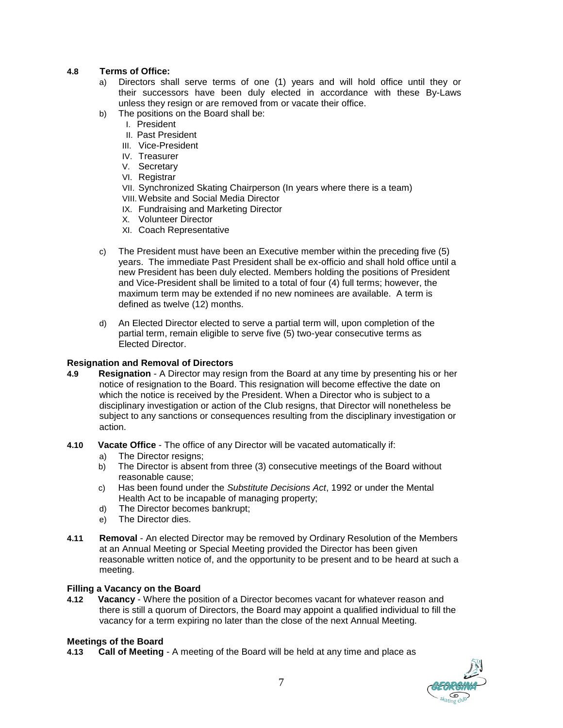## **4.8 Terms of Office:**

- a) Directors shall serve terms of one (1) years and will hold office until they or their successors have been duly elected in accordance with these By-Laws unless they resign or are removed from or vacate their office.
- b) The positions on the Board shall be:
	- I. President
	- II. Past President
	- III. Vice-President
	- IV. Treasurer
	- V. Secretary
	- VI. Registrar
	- VII. Synchronized Skating Chairperson (In years where there is a team)
	- VIII. Website and Social Media Director
	- IX. Fundraising and Marketing Director
	- X. Volunteer Director
	- XI. Coach Representative
- c) The President must have been an Executive member within the preceding five (5) years. The immediate Past President shall be ex-officio and shall hold office until a new President has been duly elected. Members holding the positions of President and Vice-President shall be limited to a total of four (4) full terms; however, the maximum term may be extended if no new nominees are available. A term is defined as twelve (12) months.
- d) An Elected Director elected to serve a partial term will, upon completion of the partial term, remain eligible to serve five (5) two-year consecutive terms as Elected Director.

### **Resignation and Removal of Directors**

- **4.9 Resignation** A Director may resign from the Board at any time by presenting his or her notice of resignation to the Board. This resignation will become effective the date on which the notice is received by the President. When a Director who is subject to a disciplinary investigation or action of the Club resigns, that Director will nonetheless be subject to any sanctions or consequences resulting from the disciplinary investigation or action.
- **4.10 Vacate Office** The office of any Director will be vacated automatically if:
	- a) The Director resigns;
	- b) The Director is absent from three (3) consecutive meetings of the Board without reasonable cause;
	- c) Has been found under the *Substitute Decisions Act*, 1992 or under the Mental Health Act to be incapable of managing property;
	- d) The Director becomes bankrupt;
	- e) The Director dies.
- **4.11 Removal** An elected Director may be removed by Ordinary Resolution of the Members at an Annual Meeting or Special Meeting provided the Director has been given reasonable written notice of, and the opportunity to be present and to be heard at such a meeting.

### **Filling a Vacancy on the Board**

**4.12 Vacancy** - Where the position of a Director becomes vacant for whatever reason and there is still a quorum of Directors, the Board may appoint a qualified individual to fill the vacancy for a term expiring no later than the close of the next Annual Meeting.

### **Meetings of the Board**

**4.13 Call of Meeting** - A meeting of the Board will be held at any time and place as

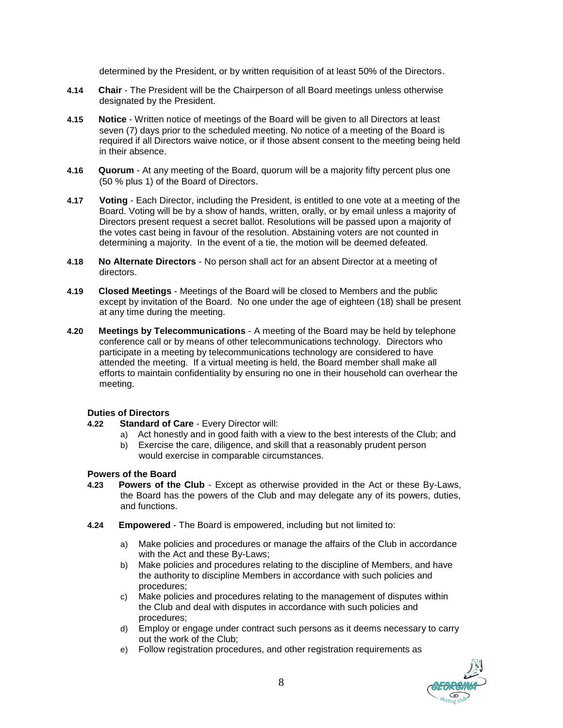determined by the President, or by written requisition of at least 50% of the Directors.

- **4.14 Chair** The President will be the Chairperson of all Board meetings unless otherwise designated by the President.
- **4.15 Notice** Written notice of meetings of the Board will be given to all Directors at least seven (7) days prior to the scheduled meeting. No notice of a meeting of the Board is required if all Directors waive notice, or if those absent consent to the meeting being held in their absence.
- **4.16 Quorum** At any meeting of the Board, quorum will be a majority fifty percent plus one (50 % plus 1) of the Board of Directors.
- **4.17 Voting** Each Director, including the President, is entitled to one vote at a meeting of the Board. Voting will be by a show of hands, written, orally, or by email unless a majority of Directors present request a secret ballot. Resolutions will be passed upon a majority of the votes cast being in favour of the resolution. Abstaining voters are not counted in determining a majority. In the event of a tie, the motion will be deemed defeated.
- **4.18 No Alternate Directors** No person shall act for an absent Director at a meeting of directors.
- **4.19 Closed Meetings** Meetings of the Board will be closed to Members and the public except by invitation of the Board. No one under the age of eighteen (18) shall be present at any time during the meeting.
- **4.20 Meetings by Telecommunications** A meeting of the Board may be held by telephone conference call or by means of other telecommunications technology. Directors who participate in a meeting by telecommunications technology are considered to have attended the meeting. If a virtual meeting is held, the Board member shall make all efforts to maintain confidentiality by ensuring no one in their household can overhear the meeting.

### **Duties of Directors**

- **4.22 Standard of Care** Every Director will:
	- a) Act honestly and in good faith with a view to the best interests of the Club; and
	- b) Exercise the care, diligence, and skill that a reasonably prudent person would exercise in comparable circumstances.

### **Powers of the Board**

- **4.23 Powers of the Club** Except as otherwise provided in the Act or these By-Laws, the Board has the powers of the Club and may delegate any of its powers, duties, and functions.
- **4.24 Empowered** The Board is empowered, including but not limited to:
	- a) Make policies and procedures or manage the affairs of the Club in accordance with the Act and these By-Laws;
	- b) Make policies and procedures relating to the discipline of Members, and have the authority to discipline Members in accordance with such policies and procedures;
	- c) Make policies and procedures relating to the management of disputes within the Club and deal with disputes in accordance with such policies and procedures;
	- d) Employ or engage under contract such persons as it deems necessary to carry out the work of the Club;
	- e) Follow registration procedures, and other registration requirements as

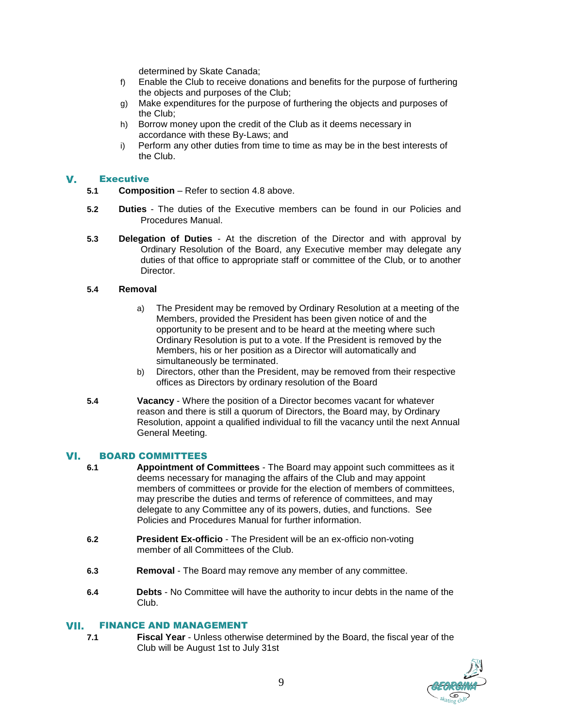determined by Skate Canada;

- f) Enable the Club to receive donations and benefits for the purpose of furthering the objects and purposes of the Club;
- g) Make expenditures for the purpose of furthering the objects and purposes of the Club;
- h) Borrow money upon the credit of the Club as it deems necessary in accordance with these By-Laws; and
- i) Perform any other duties from time to time as may be in the best interests of the Club.

#### $\mathbf{V}_{\bullet}$ **Executive**

- **5.1 Composition** Refer to section 4.8 above.
- **5.2 Duties** The duties of the Executive members can be found in our Policies and Procedures Manual.
- **5.3 Delegation of Duties** At the discretion of the Director and with approval by Ordinary Resolution of the Board, any Executive member may delegate any duties of that office to appropriate staff or committee of the Club, or to another Director.

### **5.4 Removal**

- a) The President may be removed by Ordinary Resolution at a meeting of the Members, provided the President has been given notice of and the opportunity to be present and to be heard at the meeting where such Ordinary Resolution is put to a vote. If the President is removed by the Members, his or her position as a Director will automatically and simultaneously be terminated.
- b) Directors, other than the President, may be removed from their respective offices as Directors by ordinary resolution of the Board
- **5.4 Vacancy** Where the position of a Director becomes vacant for whatever reason and there is still a quorum of Directors, the Board may, by Ordinary Resolution, appoint a qualified individual to fill the vacancy until the next Annual General Meeting.

#### VI. BOARD COMMITTEES

- **6.1 Appointment of Committees** The Board may appoint such committees as it deems necessary for managing the affairs of the Club and may appoint members of committees or provide for the election of members of committees, may prescribe the duties and terms of reference of committees, and may delegate to any Committee any of its powers, duties, and functions. See Policies and Procedures Manual for further information.
- **6.2 President Ex-officio** The President will be an ex-officio non-voting member of all Committees of the Club.
- **6.3 Removal** The Board may remove any member of any committee.
- **6.4 Debts** No Committee will have the authority to incur debts in the name of the Club.

#### FINANCE AND MANAGEMENT VII.

**7.1 Fiscal Year** - Unless otherwise determined by the Board, the fiscal year of the Club will be August 1st to July 31st

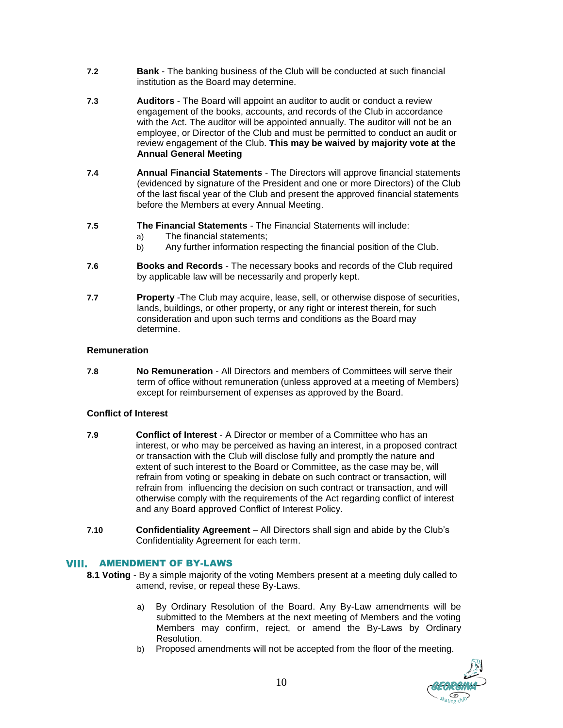- **7.2 Bank** The banking business of the Club will be conducted at such financial institution as the Board may determine.
- **7.3 Auditors** The Board will appoint an auditor to audit or conduct a review engagement of the books, accounts, and records of the Club in accordance with the Act. The auditor will be appointed annually. The auditor will not be an employee, or Director of the Club and must be permitted to conduct an audit or review engagement of the Club. **This may be waived by majority vote at the Annual General Meeting**
- **7.4 Annual Financial Statements** The Directors will approve financial statements (evidenced by signature of the President and one or more Directors) of the Club of the last fiscal year of the Club and present the approved financial statements before the Members at every Annual Meeting.
- **7.5 The Financial Statements** The Financial Statements will include:
	- a) The financial statements;
	- b) Any further information respecting the financial position of the Club.
- **7.6 Books and Records** The necessary books and records of the Club required by applicable law will be necessarily and properly kept.
- **7.7 Property** -The Club may acquire, lease, sell, or otherwise dispose of securities, lands, buildings, or other property, or any right or interest therein, for such consideration and upon such terms and conditions as the Board may determine.

# **Remuneration**

**7.8 No Remuneration** - All Directors and members of Committees will serve their term of office without remuneration (unless approved at a meeting of Members) except for reimbursement of expenses as approved by the Board.

# **Conflict of Interest**

- **7.9 Conflict of Interest** A Director or member of a Committee who has an interest, or who may be perceived as having an interest, in a proposed contract or transaction with the Club will disclose fully and promptly the nature and extent of such interest to the Board or Committee, as the case may be, will refrain from voting or speaking in debate on such contract or transaction, will refrain from influencing the decision on such contract or transaction, and will otherwise comply with the requirements of the Act regarding conflict of interest and any Board approved Conflict of Interest Policy.
- **7.10 Confidentiality Agreement**  All Directors shall sign and abide by the Club's Confidentiality Agreement for each term.

### AMENDMENT OF BY-LAWS VIII.

- **8.1 Voting** By a simple majority of the voting Members present at a meeting duly called to amend, revise, or repeal these By-Laws.
	- a) By Ordinary Resolution of the Board. Any By-Law amendments will be submitted to the Members at the next meeting of Members and the voting Members may confirm, reject, or amend the By-Laws by Ordinary Resolution.
	- b) Proposed amendments will not be accepted from the floor of the meeting.